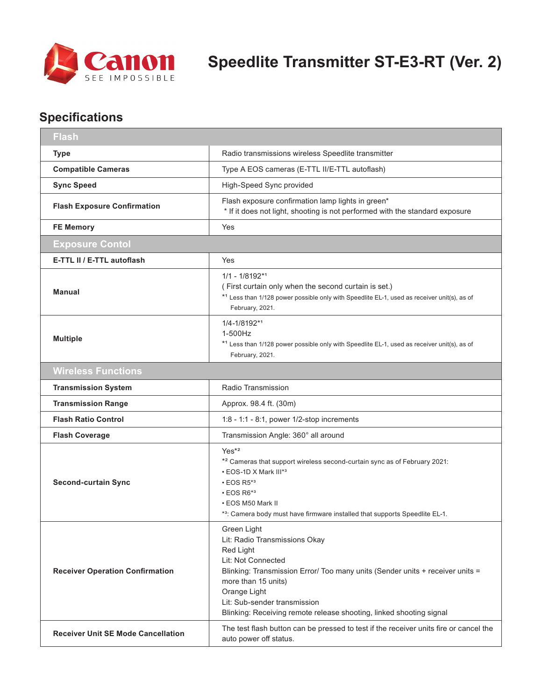

## **Specifications**

| <b>Flash</b>                              |                                                                                                                                                                                                                                                                                                                |  |
|-------------------------------------------|----------------------------------------------------------------------------------------------------------------------------------------------------------------------------------------------------------------------------------------------------------------------------------------------------------------|--|
| <b>Type</b>                               | Radio transmissions wireless Speedlite transmitter                                                                                                                                                                                                                                                             |  |
| <b>Compatible Cameras</b>                 | Type A EOS cameras (E-TTL II/E-TTL autoflash)                                                                                                                                                                                                                                                                  |  |
| <b>Sync Speed</b>                         | High-Speed Sync provided                                                                                                                                                                                                                                                                                       |  |
| <b>Flash Exposure Confirmation</b>        | Flash exposure confirmation lamp lights in green*<br>* If it does not light, shooting is not performed with the standard exposure                                                                                                                                                                              |  |
| <b>FE Memory</b>                          | Yes                                                                                                                                                                                                                                                                                                            |  |
| <b>Exposure Contol</b>                    |                                                                                                                                                                                                                                                                                                                |  |
| E-TTL II / E-TTL autoflash                | Yes                                                                                                                                                                                                                                                                                                            |  |
| <b>Manual</b>                             | $1/1 - 1/8192**1$<br>(First curtain only when the second curtain is set.)<br>*1 Less than 1/128 power possible only with Speedlite EL-1, used as receiver unit(s), as of<br>February, 2021.                                                                                                                    |  |
| <b>Multiple</b>                           | 1/4-1/8192*1<br>1-500Hz<br>*1 Less than 1/128 power possible only with Speedlite EL-1, used as receiver unit(s), as of<br>February, 2021.                                                                                                                                                                      |  |
| <b>Wireless Functions</b>                 |                                                                                                                                                                                                                                                                                                                |  |
| <b>Transmission System</b>                | Radio Transmission                                                                                                                                                                                                                                                                                             |  |
| <b>Transmission Range</b>                 | Approx. 98.4 ft. (30m)                                                                                                                                                                                                                                                                                         |  |
| <b>Flash Ratio Control</b>                | $1:8 - 1:1 - 8:1$ , power $1/2$ -stop increments                                                                                                                                                                                                                                                               |  |
| <b>Flash Coverage</b>                     | Transmission Angle: 360° all around                                                                                                                                                                                                                                                                            |  |
| <b>Second-curtain Sync</b>                | Yes <sup>*2</sup><br>* <sup>2</sup> Cameras that support wireless second-curtain sync as of February 2021:<br>• EOS-1D X Mark III*3<br>$\cdot$ EOS R5*3<br>$\cdot$ EOS R6*3<br>• EOS M50 Mark II<br>*3: Camera body must have firmware installed that supports Speedlite EL-1.                                 |  |
| <b>Receiver Operation Confirmation</b>    | Green Light<br>Lit: Radio Transmissions Okay<br>Red Light<br>Lit: Not Connected<br>Blinking: Transmission Error/ Too many units (Sender units + receiver units =<br>more than 15 units)<br>Orange Light<br>Lit: Sub-sender transmission<br>Blinking: Receiving remote release shooting, linked shooting signal |  |
| <b>Receiver Unit SE Mode Cancellation</b> | The test flash button can be pressed to test if the receiver units fire or cancel the<br>auto power off status.                                                                                                                                                                                                |  |